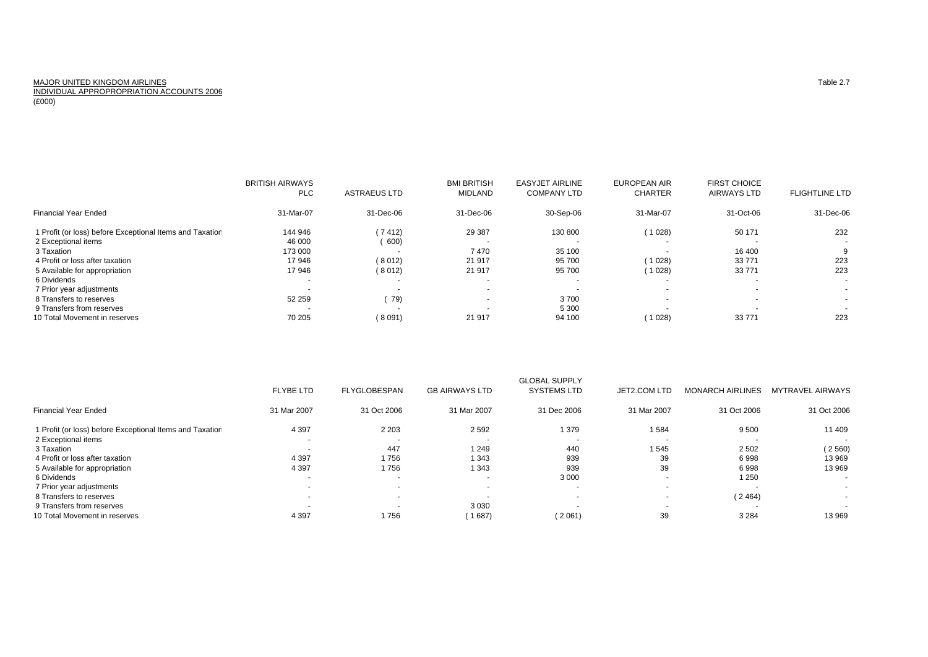## MAJOR UNITED KINGDOM AIRLINESSubset of the contract of the contract of the contract of the contract of the contract of the contract of the contract of the contract of the contract of the contract of the contract of the contract of the contract of the INDIVIDUAL APPROPROPRIATION ACCOUNTS 2006

(£000)

|                                                          | <b>BRITISH AIRWAYS</b> |                          | <b>BMI BRITISH</b>       | <b>EASYJET AIRLINE</b> | <b>EUROPEAN AIR</b>      | <b>FIRST CHOICE</b>      |                          |
|----------------------------------------------------------|------------------------|--------------------------|--------------------------|------------------------|--------------------------|--------------------------|--------------------------|
|                                                          | <b>PLC</b>             | <b>ASTRAEUS LTD</b>      | <b>MIDLAND</b>           | <b>COMPANY LTD</b>     | <b>CHARTER</b>           | <b>AIRWAYS LTD</b>       | <b>FLIGHTLINE LTD</b>    |
| Financial Year Ended                                     | 31-Mar-07              | 31-Dec-06                | 31-Dec-06                | 30-Sep-06              | 31-Mar-07                | 31-Oct-06                | 31-Dec-06                |
| 1 Profit (or loss) before Exceptional Items and Taxation | 144 946                | 7412                     | 29 387                   | 130 800                | (1028)                   | 50 171                   | 232                      |
| 2 Exceptional items                                      | 46 000                 | 600)                     | $\overline{\phantom{a}}$ |                        | $\overline{\phantom{a}}$ |                          | $\overline{\phantom{a}}$ |
| 3 Taxation                                               | 173 000                |                          | 7470                     | 35 100                 | $\overline{\phantom{0}}$ | 16 400                   | 9                        |
| 4 Profit or loss after taxation                          | 17946                  | (8012)                   | 21 917                   | 95 700                 | (1028)                   | 33 771                   | 223                      |
| 5 Available for appropriation                            | 17946                  | (8012)                   | 21 917                   | 95 700                 | (1028)                   | 33 771                   | 223                      |
| 6 Dividends                                              |                        |                          |                          |                        | $\overline{\phantom{0}}$ | $\overline{\phantom{a}}$ | $\overline{\phantom{a}}$ |
| 7 Prior year adjustments                                 | . .                    | $\overline{\phantom{a}}$ | $\sim$                   |                        | $\overline{\phantom{0}}$ | $\overline{\phantom{a}}$ | $\sim$                   |
| 8 Transfers to reserves                                  | 52 259                 | 79)                      | $\sim$                   | 3700                   | $\overline{\phantom{0}}$ | $\overline{\phantom{a}}$ | $\sim$                   |
| 9 Transfers from reserves                                |                        | $\overline{\phantom{a}}$ | $\overline{\phantom{a}}$ | 5 300                  | $\overline{\phantom{0}}$ |                          |                          |
| 10 Total Movement in reserves                            | 70 205                 | 8091                     | 21 917                   | 94 100                 | 1028                     | 33 771                   | 223                      |

|                                                          |                          |                          |                          | <b>GLOBAL SUPPLY</b> |                          |                         |                          |
|----------------------------------------------------------|--------------------------|--------------------------|--------------------------|----------------------|--------------------------|-------------------------|--------------------------|
|                                                          | <b>FLYBE LTD</b>         | FLYGLOBESPAN             | <b>GB AIRWAYS LTD</b>    | <b>SYSTEMS LTD</b>   | JET2.COM LTD             | <b>MONARCH AIRLINES</b> | MYTRAVEL AIRWAYS         |
| <b>Financial Year Ended</b>                              | 31 Mar 2007              | 31 Oct 2006              | 31 Mar 2007              | 31 Dec 2006          | 31 Mar 2007              | 31 Oct 2006             | 31 Oct 2006              |
| 1 Profit (or loss) before Exceptional Items and Taxation | 4 3 9 7                  | 2 2 0 3                  | 2 5 9 2                  | 379                  | 584                      | 9500                    | 11 409                   |
| 2 Exceptional items                                      |                          | $\overline{\phantom{a}}$ | $\overline{\phantom{a}}$ | . .                  |                          |                         |                          |
| 3 Taxation                                               |                          | 447                      | 1 2 4 9                  | 440                  | 545                      | 2 5 0 2                 | 2560                     |
| 4 Profit or loss after taxation                          | 4 3 9 7                  | 1756                     | 1 3 4 3                  | 939                  | 39                       | 6998                    | 13 969                   |
| 5 Available for appropriation                            | 4 3 9 7                  | 1756                     | 1 3 4 3                  | 939                  | 39                       | 6998                    | 13 969                   |
| 6 Dividends                                              |                          | $\overline{\phantom{a}}$ | $\sim$                   | 3 0 0 0              |                          | 1 2 5 0                 | $\sim$                   |
| 7 Prior year adjustments                                 |                          | $\overline{\phantom{0}}$ | $\sim$                   | . .                  | $\overline{\phantom{a}}$ |                         | $\sim$                   |
| 8 Transfers to reserves                                  | $\overline{\phantom{0}}$ |                          | $\overline{\phantom{a}}$ | . .                  |                          | (2464)                  | $\overline{\phantom{a}}$ |
| 9 Transfers from reserves                                |                          | $\overline{\phantom{0}}$ | 3 0 3 0                  |                      |                          |                         |                          |
| 10 Total Movement in reserves                            | 4 3 9 7                  | 1756                     | 1 687)                   | (2061)               | 39                       | 3 2 8 4                 | 13 969                   |